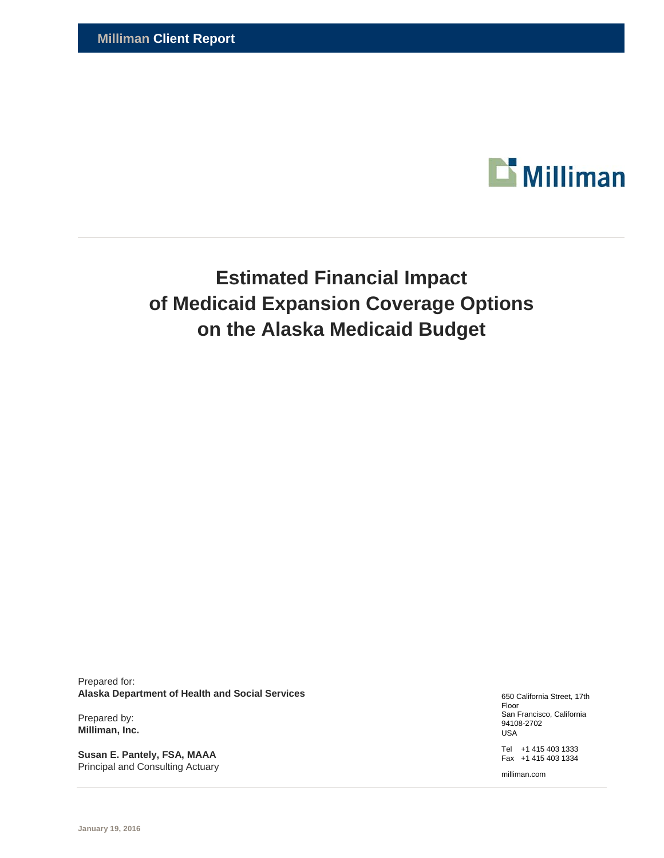

# **Estimated Financial Impact of Medicaid Expansion Coverage Options on the Alaska Medicaid Budget**

Prepared for: **Alaska Department of Health and Social Services** 

Prepared by: **Milliman, Inc.** 

**Susan E. Pantely, FSA, MAAA**  Principal and Consulting Actuary 650 California Street, 17th Floor San Francisco, California 94108-2702 USA

Tel +1 415 403 1333 Fax +1 415 403 1334

milliman.com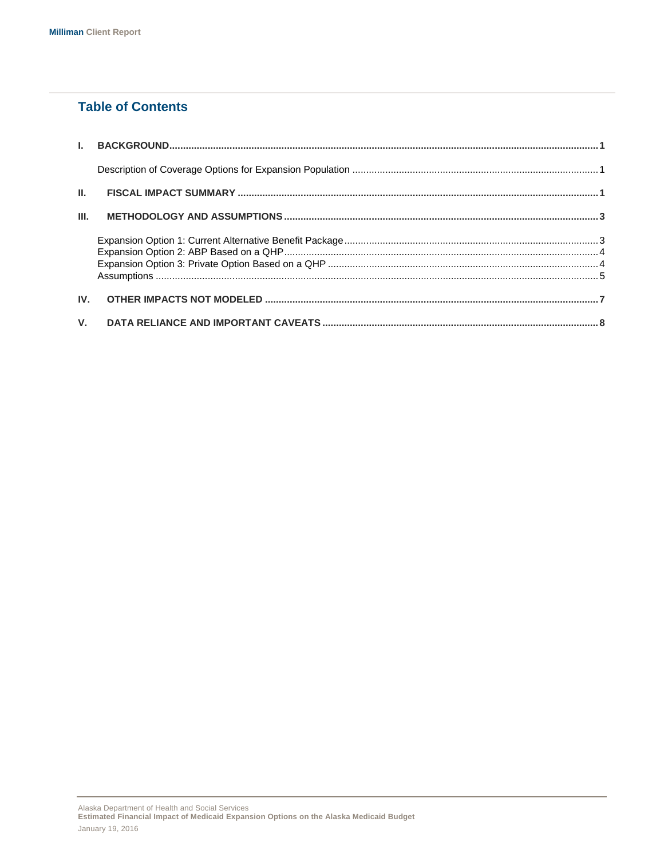### **Table of Contents**

| III. |  |
|------|--|
|      |  |
|      |  |
|      |  |
|      |  |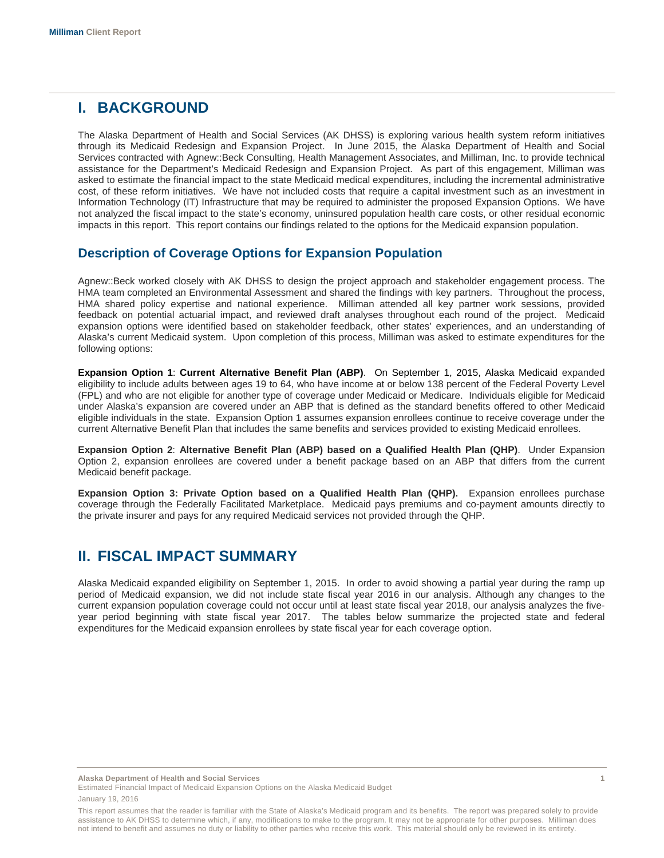## **I. BACKGROUND**

The Alaska Department of Health and Social Services (AK DHSS) is exploring various health system reform initiatives through its Medicaid Redesign and Expansion Project. In June 2015, the Alaska Department of Health and Social Services contracted with Agnew::Beck Consulting, Health Management Associates, and Milliman, Inc. to provide technical assistance for the Department's Medicaid Redesign and Expansion Project. As part of this engagement, Milliman was asked to estimate the financial impact to the state Medicaid medical expenditures, including the incremental administrative cost, of these reform initiatives. We have not included costs that require a capital investment such as an investment in Information Technology (IT) Infrastructure that may be required to administer the proposed Expansion Options. We have not analyzed the fiscal impact to the state's economy, uninsured population health care costs, or other residual economic impacts in this report. This report contains our findings related to the options for the Medicaid expansion population.

### **Description of Coverage Options for Expansion Population**

Agnew::Beck worked closely with AK DHSS to design the project approach and stakeholder engagement process. The HMA team completed an Environmental Assessment and shared the findings with key partners. Throughout the process, HMA shared policy expertise and national experience. Milliman attended all key partner work sessions, provided feedback on potential actuarial impact, and reviewed draft analyses throughout each round of the project. Medicaid expansion options were identified based on stakeholder feedback, other states' experiences, and an understanding of Alaska's current Medicaid system. Upon completion of this process, Milliman was asked to estimate expenditures for the following options:

**Expansion Option 1**: **Current Alternative Benefit Plan (ABP)**. On September 1, 2015, Alaska Medicaid expanded eligibility to include adults between ages 19 to 64, who have income at or below 138 percent of the Federal Poverty Level (FPL) and who are not eligible for another type of coverage under Medicaid or Medicare. Individuals eligible for Medicaid under Alaska's expansion are covered under an ABP that is defined as the standard benefits offered to other Medicaid eligible individuals in the state. Expansion Option 1 assumes expansion enrollees continue to receive coverage under the current Alternative Benefit Plan that includes the same benefits and services provided to existing Medicaid enrollees.

**Expansion Option 2**: **Alternative Benefit Plan (ABP) based on a Qualified Health Plan (QHP)**. Under Expansion Option 2, expansion enrollees are covered under a benefit package based on an ABP that differs from the current Medicaid benefit package.

**Expansion Option 3: Private Option based on a Qualified Health Plan (QHP).** Expansion enrollees purchase coverage through the Federally Facilitated Marketplace. Medicaid pays premiums and co-payment amounts directly to the private insurer and pays for any required Medicaid services not provided through the QHP.

# **II. FISCAL IMPACT SUMMARY**

Alaska Medicaid expanded eligibility on September 1, 2015. In order to avoid showing a partial year during the ramp up period of Medicaid expansion, we did not include state fiscal year 2016 in our analysis. Although any changes to the current expansion population coverage could not occur until at least state fiscal year 2018, our analysis analyzes the fiveyear period beginning with state fiscal year 2017. The tables below summarize the projected state and federal expenditures for the Medicaid expansion enrollees by state fiscal year for each coverage option.

**Alaska Department of Health and Social Services 1** 

Estimated Financial Impact of Medicaid Expansion Options on the Alaska Medicaid Budget

This report assumes that the reader is familiar with the State of Alaska's Medicaid program and its benefits. The report was prepared solely to provide assistance to AK DHSS to determine which, if any, modifications to make to the program. It may not be appropriate for other purposes. Milliman does not intend to benefit and assumes no duty or liability to other parties who receive this work. This material should only be reviewed in its entirety.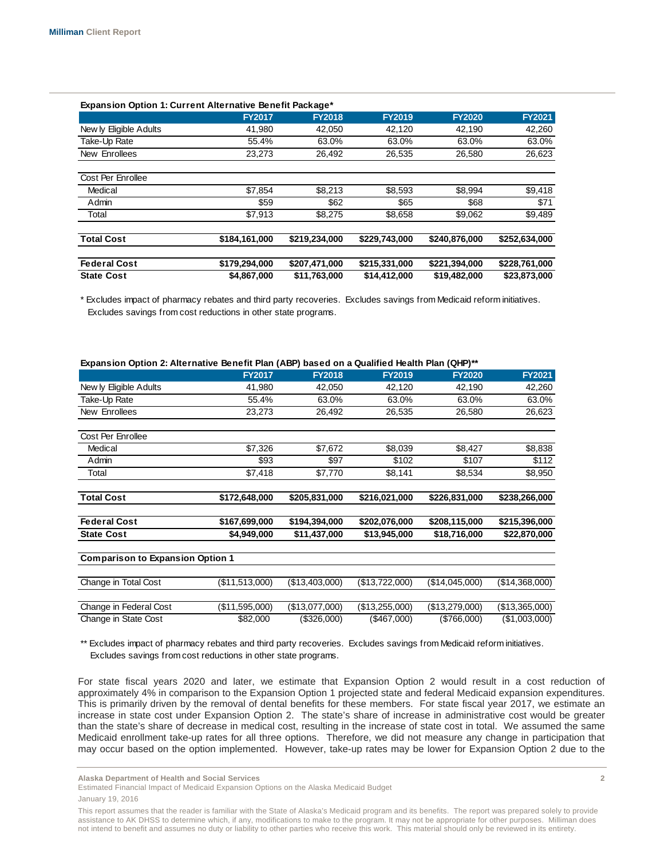| <b>Expansion Option 1: Current Alternative Benefit Package*</b> |               |               |               |               |               |
|-----------------------------------------------------------------|---------------|---------------|---------------|---------------|---------------|
|                                                                 | <b>FY2017</b> | <b>FY2018</b> | <b>FY2019</b> | <b>FY2020</b> | <b>FY2021</b> |
| New ly Eligible Adults                                          | 41.980        | 42.050        | 42.120        | 42.190        | 42,260        |
| Take-Up Rate                                                    | 55.4%         | 63.0%         | 63.0%         | 63.0%         | 63.0%         |
| New Enrollees                                                   | 23,273        | 26.492        | 26,535        | 26,580        | 26,623        |
| Cost Per Enrollee                                               |               |               |               |               |               |
| Medical                                                         | \$7.854       | \$8,213       | \$8.593       | \$8.994       | \$9,418       |
| Admin                                                           | \$59          | \$62          | \$65          | \$68          | \$71          |
| Total                                                           | \$7,913       | \$8,275       | \$8,658       | \$9,062       | \$9,489       |
| <b>Total Cost</b>                                               | \$184,161,000 | \$219,234,000 | \$229,743,000 | \$240,876,000 | \$252.634.000 |
| <b>Federal Cost</b>                                             | \$179,294,000 | \$207,471,000 | \$215,331,000 | \$221,394,000 | \$228,761,000 |
| <b>State Cost</b>                                               | \$4.867.000   | \$11.763.000  | \$14.412.000  | \$19,482,000  | \$23.873.000  |

\* Excludes impact of pharmacy rebates and third party recoveries. Excludes savings from Medicaid reform initiatives. Excludes savings from cost reductions in other state programs.

| Expansion Option 2: Alternative Benefit Plan (ABP) based on a Qualified Health Plan (QHP)** |                |                |                |                |                |
|---------------------------------------------------------------------------------------------|----------------|----------------|----------------|----------------|----------------|
|                                                                                             | <b>FY2017</b>  | <b>FY2018</b>  | <b>FY2019</b>  | <b>FY2020</b>  | <b>FY2021</b>  |
| New ly Eligible Adults                                                                      | 41,980         | 42,050         | 42,120         | 42,190         | 42,260         |
| Take-Up Rate                                                                                | 55.4%          | 63.0%          | 63.0%          | 63.0%          | 63.0%          |
| New Enrollees                                                                               | 23,273         | 26,492         | 26,535         | 26,580         | 26,623         |
| Cost Per Enrollee                                                                           |                |                |                |                |                |
| Medical                                                                                     | \$7,326        | \$7,672        | \$8,039        | \$8,427        | \$8,838        |
| Admin                                                                                       | \$93           | \$97           | \$102          | \$107          | \$112          |
| Total                                                                                       | \$7,418        | \$7,770        | \$8,141        | \$8,534        | \$8,950        |
| <b>Total Cost</b>                                                                           | \$172,648,000  | \$205,831,000  | \$216,021,000  | \$226,831,000  | \$238,266,000  |
| <b>Federal Cost</b>                                                                         | \$167,699,000  | \$194,394,000  | \$202,076,000  | \$208,115,000  | \$215,396,000  |
| <b>State Cost</b>                                                                           | \$4,949,000    | \$11,437,000   | \$13,945,000   | \$18,716,000   | \$22,870,000   |
| <b>Comparison to Expansion Option 1</b>                                                     |                |                |                |                |                |
| Change in Total Cost                                                                        | (\$11,513,000) | (\$13,403,000) | (\$13,722,000) | (\$14,045,000) | (\$14,368,000) |
| Change in Federal Cost                                                                      | (\$11,595,000) | (\$13,077,000) | (\$13,255,000) | (\$13,279,000) | (\$13,365,000) |
| Change in State Cost                                                                        | \$82,000       | (\$326,000)    | (\$467,000)    | (\$766,000)    | (\$1,003,000)  |

\*\* Excludes impact of pharmacy rebates and third party recoveries. Excludes savings from Medicaid reform initiatives. Excludes savings from cost reductions in other state programs.

For state fiscal years 2020 and later, we estimate that Expansion Option 2 would result in a cost reduction of approximately 4% in comparison to the Expansion Option 1 projected state and federal Medicaid expansion expenditures. This is primarily driven by the removal of dental benefits for these members. For state fiscal year 2017, we estimate an increase in state cost under Expansion Option 2. The state's share of increase in administrative cost would be greater than the state's share of decrease in medical cost, resulting in the increase of state cost in total. We assumed the same Medicaid enrollment take-up rates for all three options. Therefore, we did not measure any change in participation that may occur based on the option implemented. However, take-up rates may be lower for Expansion Option 2 due to the

**Alaska Department of Health and Social Services 2** 

Estimated Financial Impact of Medicaid Expansion Options on the Alaska Medicaid Budget

This report assumes that the reader is familiar with the State of Alaska's Medicaid program and its benefits. The report was prepared solely to provide assistance to AK DHSS to determine which, if any, modifications to make to the program. It may not be appropriate for other purposes. Milliman does not intend to benefit and assumes no duty or liability to other parties who receive this work. This material should only be reviewed in its entirety.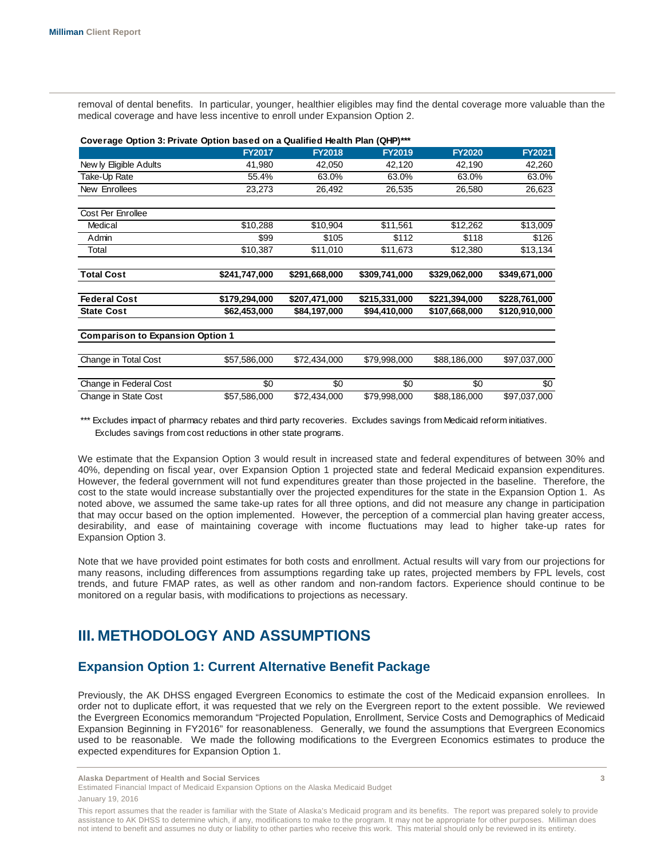removal of dental benefits. In particular, younger, healthier eligibles may find the dental coverage more valuable than the medical coverage and have less incentive to enroll under Expansion Option 2.

| Coverage Option 3: Private Option based on a Qualified Health Plan (QHP)*** |               |               |               |               |               |
|-----------------------------------------------------------------------------|---------------|---------------|---------------|---------------|---------------|
|                                                                             | <b>FY2017</b> | <b>FY2018</b> | <b>FY2019</b> | <b>FY2020</b> | <b>FY2021</b> |
| New ly Eligible Adults                                                      | 41,980        | 42,050        | 42,120        | 42,190        | 42,260        |
| Take-Up Rate                                                                | 55.4%         | 63.0%         | 63.0%         | 63.0%         | 63.0%         |
| New Enrollees                                                               | 23,273        | 26,492        | 26,535        | 26,580        | 26,623        |
| Cost Per Enrollee                                                           |               |               |               |               |               |
| Medical                                                                     | \$10,288      | \$10,904      | \$11,561      | \$12,262      | \$13,009      |
| Admin                                                                       | \$99          | \$105         | \$112         | \$118         | \$126         |
| Total                                                                       | \$10,387      | \$11,010      | \$11,673      | \$12,380      | \$13,134      |
| <b>Total Cost</b>                                                           | \$241,747,000 | \$291,668,000 | \$309,741,000 | \$329,062,000 | \$349,671,000 |
| <b>Federal Cost</b>                                                         | \$179,294,000 | \$207,471,000 | \$215,331,000 | \$221,394,000 | \$228,761,000 |
| <b>State Cost</b>                                                           | \$62,453,000  | \$84,197,000  | \$94,410,000  | \$107,668,000 | \$120,910,000 |
| <b>Comparison to Expansion Option 1</b>                                     |               |               |               |               |               |
| Change in Total Cost                                                        | \$57,586,000  | \$72,434,000  | \$79,998,000  | \$88,186,000  | \$97,037,000  |
| Change in Federal Cost                                                      | \$0           | \$0           | \$0           | \$0           | \$0           |
| Change in State Cost                                                        | \$57,586,000  | \$72,434,000  | \$79,998,000  | \$88,186,000  | \$97,037,000  |

\*\*\* Excludes impact of pharmacy rebates and third party recoveries. Excludes savings from Medicaid reform initiatives. Excludes savings from cost reductions in other state programs.

We estimate that the Expansion Option 3 would result in increased state and federal expenditures of between 30% and 40%, depending on fiscal year, over Expansion Option 1 projected state and federal Medicaid expansion expenditures. However, the federal government will not fund expenditures greater than those projected in the baseline. Therefore, the cost to the state would increase substantially over the projected expenditures for the state in the Expansion Option 1. As noted above, we assumed the same take-up rates for all three options, and did not measure any change in participation that may occur based on the option implemented. However, the perception of a commercial plan having greater access, desirability, and ease of maintaining coverage with income fluctuations may lead to higher take-up rates for Expansion Option 3.

Note that we have provided point estimates for both costs and enrollment. Actual results will vary from our projections for many reasons, including differences from assumptions regarding take up rates, projected members by FPL levels, cost trends, and future FMAP rates, as well as other random and non-random factors. Experience should continue to be monitored on a regular basis, with modifications to projections as necessary.

# **III. METHODOLOGY AND ASSUMPTIONS**

### **Expansion Option 1: Current Alternative Benefit Package**

Previously, the AK DHSS engaged Evergreen Economics to estimate the cost of the Medicaid expansion enrollees. In order not to duplicate effort, it was requested that we rely on the Evergreen report to the extent possible. We reviewed the Evergreen Economics memorandum "Projected Population, Enrollment, Service Costs and Demographics of Medicaid Expansion Beginning in FY2016" for reasonableness. Generally, we found the assumptions that Evergreen Economics used to be reasonable. We made the following modifications to the Evergreen Economics estimates to produce the expected expenditures for Expansion Option 1.

**Alaska Department of Health and Social Services 3** 

Estimated Financial Impact of Medicaid Expansion Options on the Alaska Medicaid Budget

This report assumes that the reader is familiar with the State of Alaska's Medicaid program and its benefits. The report was prepared solely to provide assistance to AK DHSS to determine which, if any, modifications to make to the program. It may not be appropriate for other purposes. Milliman does not intend to benefit and assumes no duty or liability to other parties who receive this work. This material should only be reviewed in its entirety.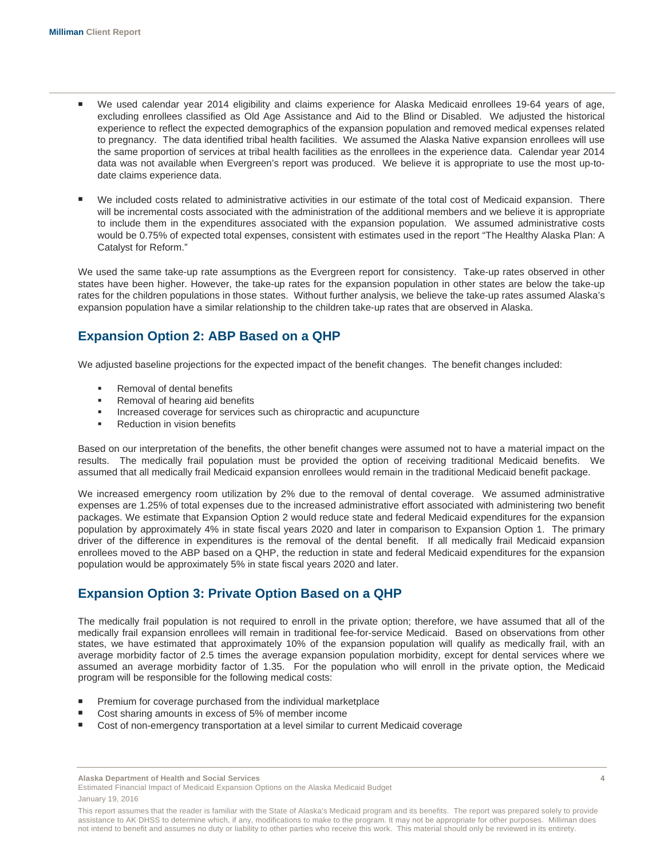- We used calendar year 2014 eligibility and claims experience for Alaska Medicaid enrollees 19-64 years of age, excluding enrollees classified as Old Age Assistance and Aid to the Blind or Disabled. We adjusted the historical experience to reflect the expected demographics of the expansion population and removed medical expenses related to pregnancy. The data identified tribal health facilities. We assumed the Alaska Native expansion enrollees will use the same proportion of services at tribal health facilities as the enrollees in the experience data. Calendar year 2014 data was not available when Evergreen's report was produced. We believe it is appropriate to use the most up-todate claims experience data.
- We included costs related to administrative activities in our estimate of the total cost of Medicaid expansion. There will be incremental costs associated with the administration of the additional members and we believe it is appropriate to include them in the expenditures associated with the expansion population. We assumed administrative costs would be 0.75% of expected total expenses, consistent with estimates used in the report "The Healthy Alaska Plan: A Catalyst for Reform."

We used the same take-up rate assumptions as the Evergreen report for consistency. Take-up rates observed in other states have been higher. However, the take-up rates for the expansion population in other states are below the take-up rates for the children populations in those states. Without further analysis, we believe the take-up rates assumed Alaska's expansion population have a similar relationship to the children take-up rates that are observed in Alaska.

### **Expansion Option 2: ABP Based on a QHP**

We adjusted baseline projections for the expected impact of the benefit changes. The benefit changes included:

- Removal of dental benefits
- Removal of hearing aid benefits
- **Increased coverage for services such as chiropractic and acupuncture**
- Reduction in vision benefits

Based on our interpretation of the benefits, the other benefit changes were assumed not to have a material impact on the results. The medically frail population must be provided the option of receiving traditional Medicaid benefits. We assumed that all medically frail Medicaid expansion enrollees would remain in the traditional Medicaid benefit package.

We increased emergency room utilization by 2% due to the removal of dental coverage. We assumed administrative expenses are 1.25% of total expenses due to the increased administrative effort associated with administering two benefit packages. We estimate that Expansion Option 2 would reduce state and federal Medicaid expenditures for the expansion population by approximately 4% in state fiscal years 2020 and later in comparison to Expansion Option 1. The primary driver of the difference in expenditures is the removal of the dental benefit. If all medically frail Medicaid expansion enrollees moved to the ABP based on a QHP, the reduction in state and federal Medicaid expenditures for the expansion population would be approximately 5% in state fiscal years 2020 and later.

### **Expansion Option 3: Private Option Based on a QHP**

The medically frail population is not required to enroll in the private option; therefore, we have assumed that all of the medically frail expansion enrollees will remain in traditional fee-for-service Medicaid. Based on observations from other states, we have estimated that approximately 10% of the expansion population will qualify as medically frail, with an average morbidity factor of 2.5 times the average expansion population morbidity, except for dental services where we assumed an average morbidity factor of 1.35. For the population who will enroll in the private option, the Medicaid program will be responsible for the following medical costs:

- Premium for coverage purchased from the individual marketplace
- Cost sharing amounts in excess of 5% of member income
- Cost of non-emergency transportation at a level similar to current Medicaid coverage

**Alaska Department of Health and Social Services 4** 

Estimated Financial Impact of Medicaid Expansion Options on the Alaska Medicaid Budget

This report assumes that the reader is familiar with the State of Alaska's Medicaid program and its benefits. The report was prepared solely to provide assistance to AK DHSS to determine which, if any, modifications to make to the program. It may not be appropriate for other purposes. Milliman does not intend to benefit and assumes no duty or liability to other parties who receive this work. This material should only be reviewed in its entirety.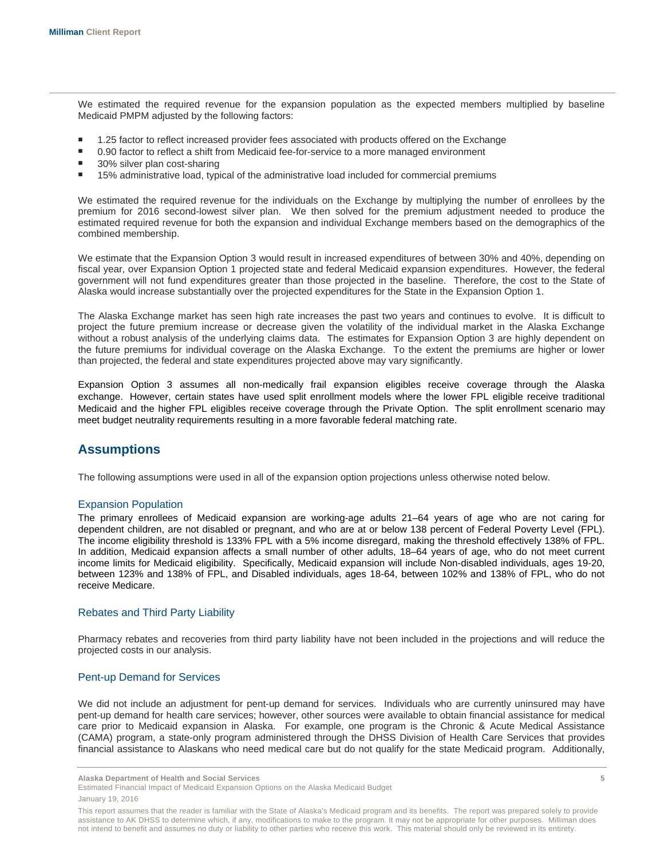We estimated the required revenue for the expansion population as the expected members multiplied by baseline Medicaid PMPM adjusted by the following factors:

- 1.25 factor to reflect increased provider fees associated with products offered on the Exchange
- 0.90 factor to reflect a shift from Medicaid fee-for-service to a more managed environment
- 30% silver plan cost-sharing
- 15% administrative load, typical of the administrative load included for commercial premiums

We estimated the required revenue for the individuals on the Exchange by multiplying the number of enrollees by the premium for 2016 second-lowest silver plan. We then solved for the premium adjustment needed to produce the estimated required revenue for both the expansion and individual Exchange members based on the demographics of the combined membership.

We estimate that the Expansion Option 3 would result in increased expenditures of between 30% and 40%, depending on fiscal year, over Expansion Option 1 projected state and federal Medicaid expansion expenditures. However, the federal government will not fund expenditures greater than those projected in the baseline. Therefore, the cost to the State of Alaska would increase substantially over the projected expenditures for the State in the Expansion Option 1.

The Alaska Exchange market has seen high rate increases the past two years and continues to evolve. It is difficult to project the future premium increase or decrease given the volatility of the individual market in the Alaska Exchange without a robust analysis of the underlying claims data. The estimates for Expansion Option 3 are highly dependent on the future premiums for individual coverage on the Alaska Exchange. To the extent the premiums are higher or lower than projected, the federal and state expenditures projected above may vary significantly.

Expansion Option 3 assumes all non-medically frail expansion eligibles receive coverage through the Alaska exchange. However, certain states have used split enrollment models where the lower FPL eligible receive traditional Medicaid and the higher FPL eligibles receive coverage through the Private Option. The split enrollment scenario may meet budget neutrality requirements resulting in a more favorable federal matching rate.

### **Assumptions**

The following assumptions were used in all of the expansion option projections unless otherwise noted below.

#### Expansion Population

The primary enrollees of Medicaid expansion are working-age adults 21–64 years of age who are not caring for dependent children, are not disabled or pregnant, and who are at or below 138 percent of Federal Poverty Level (FPL). The income eligibility threshold is 133% FPL with a 5% income disregard, making the threshold effectively 138% of FPL. In addition, Medicaid expansion affects a small number of other adults, 18–64 years of age, who do not meet current income limits for Medicaid eligibility. Specifically, Medicaid expansion will include Non-disabled individuals, ages 19-20, between 123% and 138% of FPL, and Disabled individuals, ages 18-64, between 102% and 138% of FPL, who do not receive Medicare.

#### Rebates and Third Party Liability

Pharmacy rebates and recoveries from third party liability have not been included in the projections and will reduce the projected costs in our analysis.

#### Pent-up Demand for Services

We did not include an adjustment for pent-up demand for services. Individuals who are currently uninsured may have pent-up demand for health care services; however, other sources were available to obtain financial assistance for medical care prior to Medicaid expansion in Alaska. For example, one program is the Chronic & Acute Medical Assistance (CAMA) program, a state-only program administered through the DHSS Division of Health Care Services that provides financial assistance to Alaskans who need medical care but do not qualify for the state Medicaid program. Additionally,

**Alaska Department of Health and Social Services 5** 

Estimated Financial Impact of Medicaid Expansion Options on the Alaska Medicaid Budget

This report assumes that the reader is familiar with the State of Alaska's Medicaid program and its benefits. The report was prepared solely to provide assistance to AK DHSS to determine which, if any, modifications to make to the program. It may not be appropriate for other purposes. Milliman does not intend to benefit and assumes no duty or liability to other parties who receive this work. This material should only be reviewed in its entirety.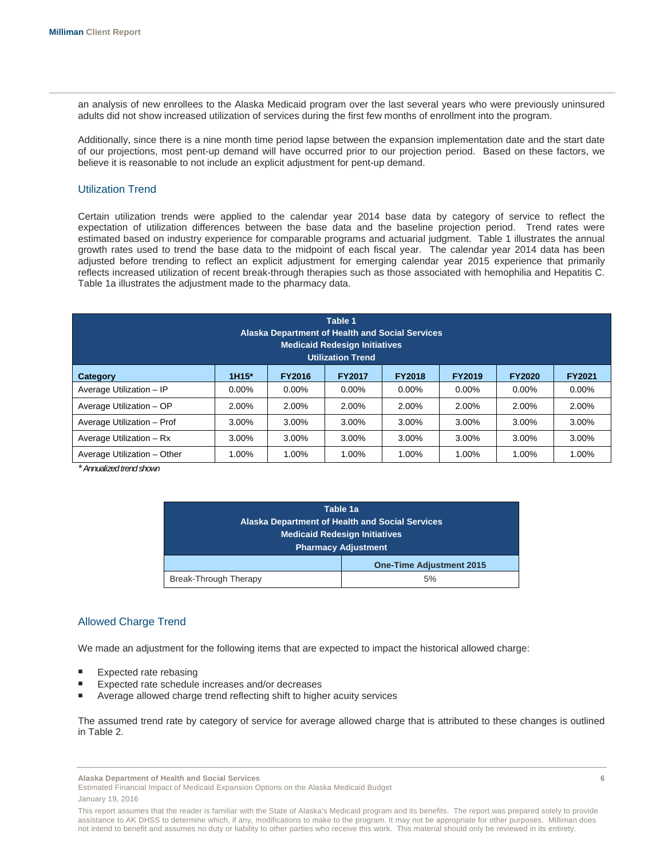an analysis of new enrollees to the Alaska Medicaid program over the last several years who were previously uninsured adults did not show increased utilization of services during the first few months of enrollment into the program.

Additionally, since there is a nine month time period lapse between the expansion implementation date and the start date of our projections, most pent-up demand will have occurred prior to our projection period. Based on these factors, we believe it is reasonable to not include an explicit adjustment for pent-up demand.

#### Utilization Trend

Certain utilization trends were applied to the calendar year 2014 base data by category of service to reflect the expectation of utilization differences between the base data and the baseline projection period. Trend rates were estimated based on industry experience for comparable programs and actuarial judgment. Table 1 illustrates the annual growth rates used to trend the base data to the midpoint of each fiscal year. The calendar year 2014 data has been adjusted before trending to reflect an explicit adjustment for emerging calendar year 2015 experience that primarily reflects increased utilization of recent break-through therapies such as those associated with hemophilia and Hepatitis C. Table 1a illustrates the adjustment made to the pharmacy data.

| Table 1<br>Alaska Department of Health and Social Services<br><b>Medicaid Redesign Initiatives</b><br><b>Utilization Trend</b> |          |          |          |          |          |          |          |  |  |
|--------------------------------------------------------------------------------------------------------------------------------|----------|----------|----------|----------|----------|----------|----------|--|--|
| 1H15*<br><b>FY2016</b><br><b>FY2018</b><br><b>FY2019</b><br><b>FY2017</b><br><b>FY2020</b><br><b>FY2021</b><br>Category        |          |          |          |          |          |          |          |  |  |
| Average Utilization - IP                                                                                                       | $0.00\%$ | $0.00\%$ | $0.00\%$ | $0.00\%$ | $0.00\%$ | $0.00\%$ | $0.00\%$ |  |  |
| Average Utilization - OP                                                                                                       | 2.00%    | 2.00%    | 2.00%    | 2.00%    | 2.00%    | 2.00%    | 2.00%    |  |  |
| Average Utilization - Prof                                                                                                     | 3.00%    | 3.00%    | 3.00%    | 3.00%    | 3.00%    | 3.00%    | 3.00%    |  |  |
| Average Utilization - Rx                                                                                                       | 3.00%    | 3.00%    | 3.00%    | 3.00%    | 3.00%    | 3.00%    | 3.00%    |  |  |
| Average Utilization - Other                                                                                                    | 1.00%    | $1.00\%$ | 1.00%    | 1.00%    | $1.00\%$ | 1.00%    | 1.00%    |  |  |

*\* Annualized trend shown*

| Table 1a                                               |                                 |  |  |  |  |
|--------------------------------------------------------|---------------------------------|--|--|--|--|
| <b>Alaska Department of Health and Social Services</b> |                                 |  |  |  |  |
| <b>Medicaid Redesign Initiatives</b>                   |                                 |  |  |  |  |
| <b>Pharmacy Adjustment</b>                             |                                 |  |  |  |  |
|                                                        | <b>One-Time Adjustment 2015</b> |  |  |  |  |
| Break-Through Therapy                                  | 5%                              |  |  |  |  |
|                                                        |                                 |  |  |  |  |

#### Allowed Charge Trend

We made an adjustment for the following items that are expected to impact the historical allowed charge:

- Expected rate rebasing
- Expected rate schedule increases and/or decreases
- Average allowed charge trend reflecting shift to higher acuity services

The assumed trend rate by category of service for average allowed charge that is attributed to these changes is outlined in Table 2.

**Alaska Department of Health and Social Services 6** 

Estimated Financial Impact of Medicaid Expansion Options on the Alaska Medicaid Budget

This report assumes that the reader is familiar with the State of Alaska's Medicaid program and its benefits. The report was prepared solely to provide assistance to AK DHSS to determine which, if any, modifications to make to the program. It may not be appropriate for other purposes. Milliman does not intend to benefit and assumes no duty or liability to other parties who receive this work. This material should only be reviewed in its entirety.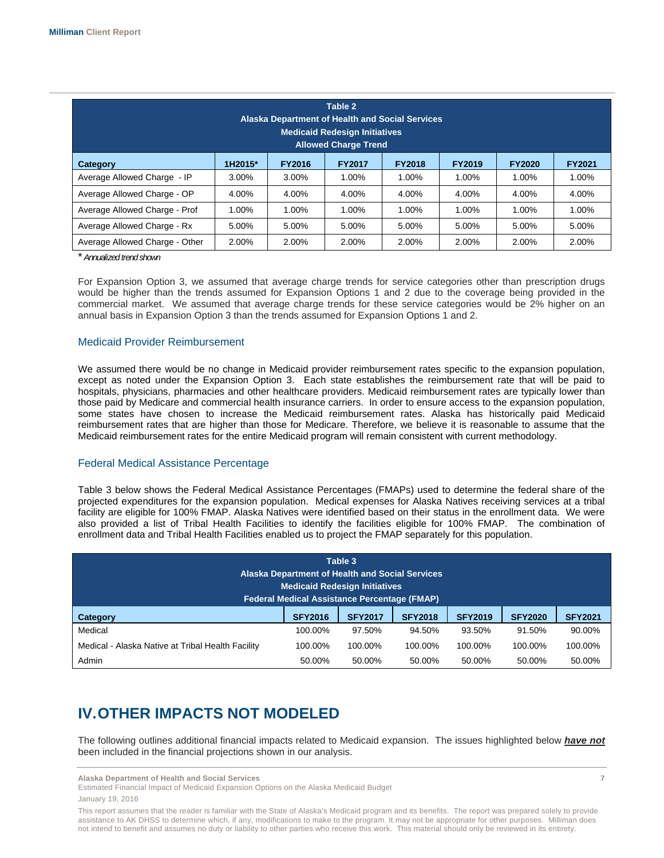| Table 2<br><b>Alaska Department of Health and Social Services</b><br><b>Medicaid Redesign Initiatives</b><br><b>Allowed Charge Trend</b> |                                                                                                               |       |       |       |       |       |       |  |
|------------------------------------------------------------------------------------------------------------------------------------------|---------------------------------------------------------------------------------------------------------------|-------|-------|-------|-------|-------|-------|--|
| Category                                                                                                                                 | <b>FY2019</b><br>1H2015*<br><b>FY2016</b><br><b>FY2017</b><br><b>FY2018</b><br><b>FY2020</b><br><b>FY2021</b> |       |       |       |       |       |       |  |
| Average Allowed Charge - IP                                                                                                              | 3.00%                                                                                                         | 3.00% | 1.00% | 1.00% | 1.00% | 1.00% | 1.00% |  |
| Average Allowed Charge - OP                                                                                                              | 4.00%                                                                                                         | 4.00% | 4.00% | 4.00% | 4.00% | 4.00% | 4.00% |  |
| Average Allowed Charge - Prof                                                                                                            | 1.00%                                                                                                         | 1.00% | 1.00% | 1.00% | 1.00% | 1.00% | 1.00% |  |
| Average Allowed Charge - Rx                                                                                                              | 5.00%                                                                                                         | 5.00% | 5.00% | 5.00% | 5.00% | 5.00% | 5.00% |  |
| Average Allowed Charge - Other                                                                                                           | 2.00%                                                                                                         | 2.00% | 2.00% | 2.00% | 2.00% | 2.00% | 2.00% |  |

\* *Annualized trend shown*

For Expansion Option 3, we assumed that average charge trends for service categories other than prescription drugs would be higher than the trends assumed for Expansion Options 1 and 2 due to the coverage being provided in the commercial market. We assumed that average charge trends for these service categories would be 2% higher on an annual basis in Expansion Option 3 than the trends assumed for Expansion Options 1 and 2.

#### Medicaid Provider Reimbursement

We assumed there would be no change in Medicaid provider reimbursement rates specific to the expansion population, except as noted under the Expansion Option 3. Each state establishes the reimbursement rate that will be paid to hospitals, physicians, pharmacies and other healthcare providers. Medicaid reimbursement rates are typically lower than those paid by Medicare and commercial health insurance carriers. In order to ensure access to the expansion population, some states have chosen to increase the Medicaid reimbursement rates. Alaska has historically paid Medicaid reimbursement rates that are higher than those for Medicare. Therefore, we believe it is reasonable to assume that the Medicaid reimbursement rates for the entire Medicaid program will remain consistent with current methodology.

#### Federal Medical Assistance Percentage

Table 3 below shows the Federal Medical Assistance Percentages (FMAPs) used to determine the federal share of the projected expenditures for the expansion population. Medical expenses for Alaska Natives receiving services at a tribal facility are eligible for 100% FMAP. Alaska Natives were identified based on their status in the enrollment data. We were also provided a list of Tribal Health Facilities to identify the facilities eligible for 100% FMAP. The combination of enrollment data and Tribal Health Facilities enabled us to project the FMAP separately for this population.

| Table 3<br><b>Alaska Department of Health and Social Services</b><br><b>Medicaid Redesign Initiatives</b><br><b>Federal Medical Assistance Percentage (FMAP)</b> |                |                |                |                |                |                |  |  |
|------------------------------------------------------------------------------------------------------------------------------------------------------------------|----------------|----------------|----------------|----------------|----------------|----------------|--|--|
| Category                                                                                                                                                         | <b>SFY2016</b> | <b>SFY2017</b> | <b>SFY2018</b> | <b>SFY2019</b> | <b>SFY2020</b> | <b>SFY2021</b> |  |  |
| Medical                                                                                                                                                          | 100.00%        | 97.50%         | 94.50%         | 93.50%         | 91.50%         | 90.00%         |  |  |
| Medical - Alaska Native at Tribal Health Facility                                                                                                                | 100.00%        | 100.00%        | 100.00%        | 100.00%        | 100.00%        | 100.00%        |  |  |
| Admin                                                                                                                                                            | 50.00%         | 50.00%         | 50.00%         | 50.00%         | 50.00%         | 50.00%         |  |  |

# **IV. OTHER IMPACTS NOT MODELED**

The following outlines additional financial impacts related to Medicaid expansion. The issues highlighted below *have not*  been included in the financial projections shown in our analysis.

**Alaska Department of Health and Social Services 7** 

Estimated Financial Impact of Medicaid Expansion Options on the Alaska Medicaid Budget

January 19, 2016

This report assumes that the reader is familiar with the State of Alaska's Medicaid program and its benefits. The report was prepared solely to provide assistance to AK DHSS to determine which, if any, modifications to make to the program. It may not be appropriate for other purposes. Milliman does not intend to benefit and assumes no duty or liability to other parties who receive this work. This material should only be reviewed in its entirety.